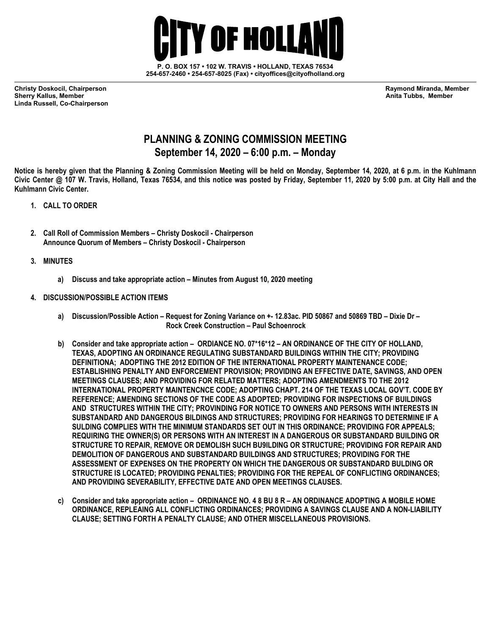

**254-657-2460 • 254-657-8025 (Fax) • cityoffices@cityofholland.org**

**Christy Doskocil, Chairperson Raymond Miranda, Member Linda Russell, Co-Chairperson** 

**Sherry Kallus, Member Anita Tubbs, Member**

## **PLANNING & ZONING COMMISSION MEETING September 14, 2020 – 6:00 p.m. – Monday**

**Notice is hereby given that the Planning & Zoning Commission Meeting will be held on Monday, September 14, 2020, at 6 p.m. in the Kuhlmann Civic Center @ 107 W. Travis, Holland, Texas 76534, and this notice was posted by Friday, September 11, 2020 by 5:00 p.m. at City Hall and the Kuhlmann Civic Center.** 

- **1. CALL TO ORDER**
- **2. Call Roll of Commission Members – Christy Doskocil - Chairperson Announce Quorum of Members – Christy Doskocil - Chairperson**
- **3. MINUTES**
	- **a) Discuss and take appropriate action – Minutes from August 10, 2020 meeting**
- **4. DISCUSSION/POSSIBLE ACTION ITEMS**
	- **a) Discussion/Possible Action – Request for Zoning Variance on +- 12.83ac. PID 50867 and 50869 TBD – Dixie Dr – Rock Creek Construction – Paul Schoenrock**
	- **b) Consider and take appropriate action – ORDIANCE NO. 07\*16\*12 – AN ORDINANCE OF THE CITY OF HOLLAND, TEXAS, ADOPTING AN ORDINANCE REGULATING SUBSTANDARD BUILDINGS WITHIN THE CITY; PROVIDING DEFINITIONA; ADOPTING THE 2012 EDITION OF THE INTERNATIONAL PROPERTY MAINTENANCE CODE; ESTABLISHING PENALTY AND ENFORCEMENT PROVISION; PROVIDING AN EFFECTIVE DATE, SAVINGS, AND OPEN MEETINGS CLAUSES; AND PROVIDING FOR RELATED MATTERS; ADOPTING AMENDMENTS TO THE 2012 INTERNATIONAL PROPERTY MAINTENCNCE CODE; ADOPTING CHAPT. 214 OF THE TEXAS LOCAL GOV'T. CODE BY REFERENCE; AMENDING SECTIONS OF THE CODE AS ADOPTED; PROVIDING FOR INSPECTIONS OF BUILDINGS AND STRUCTURES WITHIN THE CITY; PROVINDING FOR NOTICE TO OWNERS AND PERSONS WITH INTERESTS IN SUBSTANDARD AND DANGEROUS BILDINGS AND STRUCTURES; PROVIDING FOR HEARINGS TO DETERMINE IF A SULDING COMPLIES WITH THE MINIMUM STANDARDS SET OUT IN THIS ORDINANCE; PROVIDING FOR APPEALS; REQUIRING THE OWNER(S) OR PERSONS WITH AN INTEREST IN A DANGEROUS OR SUBSTANDARD BUILDING OR STRUCTURE TO REPAIR, REMOVE OR DEMOLISH SUCH BU9ILDING OR STRUCTURE; PROVIDING FOR REPAIR AND DEMOLITION OF DANGEROUS AND SUBSTANDARD BUILDINGS AND STRUCTURES; PROVIDING FOR THE ASSESSMENT OF EXPENSES ON THE PROPERTY ON WHICH THE DANGEROUS OR SUBSTANDARD BULDING OR STRUCTURE IS LOCATED; PROVIDING PENALTIES; PROVIDING FOR THE REPEAL OF CONFLICTING ORDINANCES; AND PROVIDING SEVERABILITY, EFFECTIVE DATE AND OPEN MEETINGS CLAUSES.**
	- **c) Consider and take appropriate action – ORDINANCE NO. 4 8 BU 8 R – AN ORDINANCE ADOPTING A MOBILE HOME ORDINANCE, REPLEAING ALL CONFLICTING ORDINANCES; PROVIDING A SAVINGS CLAUSE AND A NON-LIABILITY CLAUSE; SETTING FORTH A PENALTY CLAUSE; AND OTHER MISCELLANEOUS PROVISIONS.**